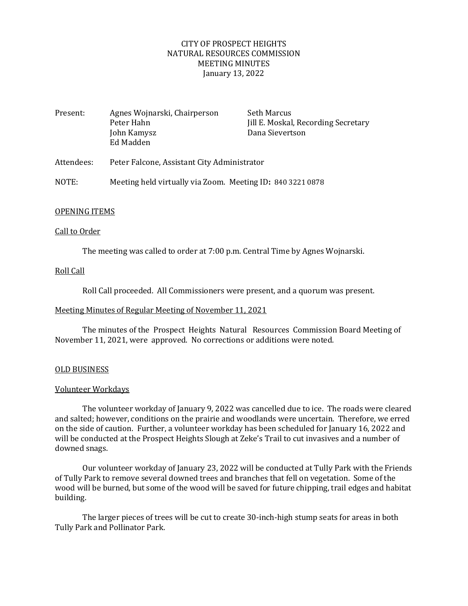## CITY OF PROSPECT HEIGHTS NATURAL RESOURCES COMMISSION MEETING MINUTES January 13, 2022

| Present:   | Agnes Wojnarski, Chairperson<br>Peter Hahn<br>John Kamysz<br>Ed Madden | Seth Marcus<br>Jill E. Moskal, Recording Secretary<br>Dana Sievertson |
|------------|------------------------------------------------------------------------|-----------------------------------------------------------------------|
| Attendees: | Peter Falcone, Assistant City Administrator                            |                                                                       |
| NOTE:      | Meeting held virtually via Zoom. Meeting ID: 840 3221 0878             |                                                                       |

### OPENING ITEMS

### Call to Order

The meeting was called to order at 7:00 p.m. Central Time by Agnes Wojnarski.

## Roll Call

Roll Call proceeded. All Commissioners were present, and a quorum was present.

#### Meeting Minutes of Regular Meeting of November 11, 2021

The minutes of the Prospect Heights Natural Resources Commission Board Meeting of November 11, 2021, were approved. No corrections or additions were noted.

#### OLD BUSINESS

## Volunteer Workdays

The volunteer workday of January 9, 2022 was cancelled due to ice. The roads were cleared and salted; however, conditions on the prairie and woodlands were uncertain. Therefore, we erred on the side of caution. Further, a volunteer workday has been scheduled for January 16, 2022 and will be conducted at the Prospect Heights Slough at Zeke's Trail to cut invasives and a number of downed snags.

Our volunteer workday of January 23, 2022 will be conducted at Tully Park with the Friends of Tully Park to remove several downed trees and branches that fell on vegetation. Some of the wood will be burned, but some of the wood will be saved for future chipping, trail edges and habitat building.

The larger pieces of trees will be cut to create 30-inch-high stump seats for areas in both Tully Park and Pollinator Park.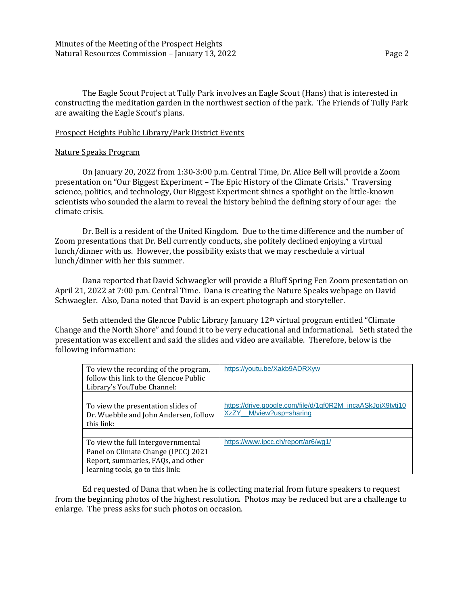The Eagle Scout Project at Tully Park involves an Eagle Scout (Hans) that is interested in constructing the meditation garden in the northwest section of the park. The Friends of Tully Park are awaiting the Eagle Scout's plans.

### Prospect Heights Public Library/Park District Events

#### Nature Speaks Program

On January 20, 2022 from 1:30-3:00 p.m. Central Time, Dr. Alice Bell will provide a Zoom presentation on "Our Biggest Experiment – The Epic History of the Climate Crisis." Traversing science, politics, and technology, Our Biggest Experiment shines a spotlight on the little-known scientists who sounded the alarm to reveal the history behind the defining story of our age: the climate crisis.

Dr. Bell is a resident of the United Kingdom. Due to the time difference and the number of Zoom presentations that Dr. Bell currently conducts, she politely declined enjoying a virtual lunch/dinner with us. However, the possibility exists that we may reschedule a virtual lunch/dinner with her this summer.

Dana reported that David Schwaegler will provide a Bluff Spring Fen Zoom presentation on April 21, 2022 at 7:00 p.m. Central Time. Dana is creating the Nature Speaks webpage on David Schwaegler. Also, Dana noted that David is an expert photograph and storyteller.

Seth attended the Glencoe Public Library January 12<sup>th</sup> virtual program entitled "Climate Change and the North Shore" and found it to be very educational and informational. Seth stated the presentation was excellent and said the slides and video are available. Therefore, below is the following information:

| To view the recording of the program,<br>follow this link to the Glencoe Public<br>Library's YouTube Channel:                                       | https://youtu.be/Xakb9ADRXyw                                                             |
|-----------------------------------------------------------------------------------------------------------------------------------------------------|------------------------------------------------------------------------------------------|
| To view the presentation slides of<br>Dr. Wuebble and John Andersen, follow<br>this link:                                                           | https://drive.google.com/file/d/1qf0R2M_incaASkJgiX9tvtj10<br>M/view?usp=sharing<br>XzZY |
| To view the full Intergovernmental<br>Panel on Climate Change (IPCC) 2021<br>Report, summaries, FAQs, and other<br>learning tools, go to this link: | https://www.ipcc.ch/report/ar6/wq1/                                                      |

Ed requested of Dana that when he is collecting material from future speakers to request from the beginning photos of the highest resolution. Photos may be reduced but are a challenge to enlarge. The press asks for such photos on occasion.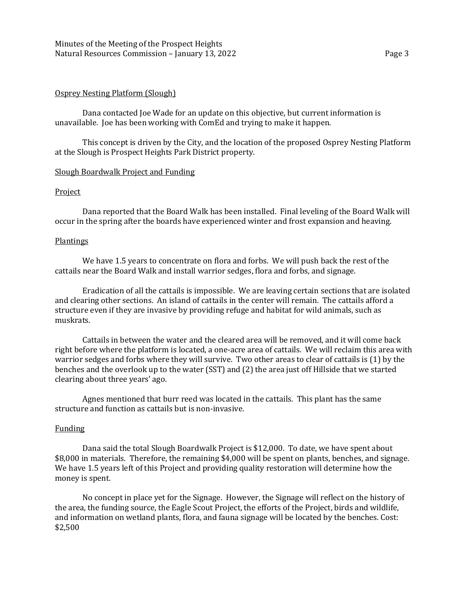### Osprey Nesting Platform (Slough)

Dana contacted Joe Wade for an update on this objective, but current information is unavailable. Joe has been working with ComEd and trying to make it happen.

This concept is driven by the City, and the location of the proposed Osprey Nesting Platform at the Slough is Prospect Heights Park District property.

### Slough Boardwalk Project and Funding

### Project

Dana reported that the Board Walk has been installed. Final leveling of the Board Walk will occur in the spring after the boards have experienced winter and frost expansion and heaving.

#### Plantings

We have 1.5 years to concentrate on flora and forbs. We will push back the rest of the cattails near the Board Walk and install warrior sedges, flora and forbs, and signage.

Eradication of all the cattails is impossible. We are leaving certain sections that are isolated and clearing other sections. An island of cattails in the center will remain. The cattails afford a structure even if they are invasive by providing refuge and habitat for wild animals, such as muskrats.

Cattails in between the water and the cleared area will be removed, and it will come back right before where the platform is located, a one-acre area of cattails. We will reclaim this area with warrior sedges and forbs where they will survive. Two other areas to clear of cattails is (1) by the benches and the overlook up to the water (SST) and (2) the area just off Hillside that we started clearing about three years' ago.

Agnes mentioned that burr reed was located in the cattails. This plant has the same structure and function as cattails but is non-invasive.

## Funding

Dana said the total Slough Boardwalk Project is \$12,000. To date, we have spent about \$8,000 in materials. Therefore, the remaining \$4,000 will be spent on plants, benches, and signage. We have 1.5 years left of this Project and providing quality restoration will determine how the money is spent.

No concept in place yet for the Signage. However, the Signage will reflect on the history of the area, the funding source, the Eagle Scout Project, the efforts of the Project, birds and wildlife, and information on wetland plants, flora, and fauna signage will be located by the benches. Cost: \$2,500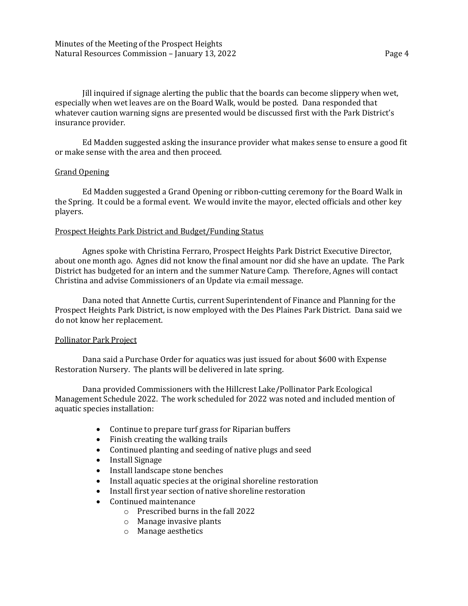Jill inquired if signage alerting the public that the boards can become slippery when wet, especially when wet leaves are on the Board Walk, would be posted. Dana responded that whatever caution warning signs are presented would be discussed first with the Park District's insurance provider.

Ed Madden suggested asking the insurance provider what makes sense to ensure a good fit or make sense with the area and then proceed.

## Grand Opening

Ed Madden suggested a Grand Opening or ribbon-cutting ceremony for the Board Walk in the Spring. It could be a formal event. We would invite the mayor, elected officials and other key players.

## Prospect Heights Park District and Budget/Funding Status

Agnes spoke with Christina Ferraro, Prospect Heights Park District Executive Director, about one month ago. Agnes did not know the final amount nor did she have an update. The Park District has budgeted for an intern and the summer Nature Camp. Therefore, Agnes will contact Christina and advise Commissioners of an Update via e:mail message.

Dana noted that Annette Curtis, current Superintendent of Finance and Planning for the Prospect Heights Park District, is now employed with the Des Plaines Park District. Dana said we do not know her replacement.

## Pollinator Park Project

Dana said a Purchase Order for aquatics was just issued for about \$600 with Expense Restoration Nursery. The plants will be delivered in late spring.

Dana provided Commissioners with the Hillcrest Lake/Pollinator Park Ecological Management Schedule 2022. The work scheduled for 2022 was noted and included mention of aquatic species installation:

- Continue to prepare turf grass for Riparian buffers
- Finish creating the walking trails
- Continued planting and seeding of native plugs and seed
- Install Signage
- Install landscape stone benches
- Install aquatic species at the original shoreline restoration
- Install first year section of native shoreline restoration
- Continued maintenance
	- o Prescribed burns in the fall 2022
	- o Manage invasive plants
	- o Manage aesthetics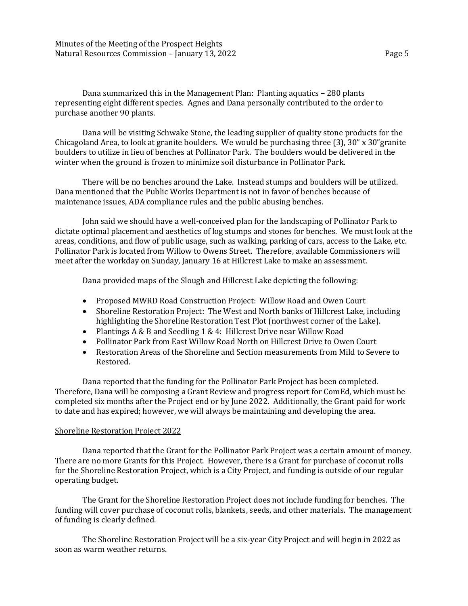Minutes of the Meeting of the Prospect Heights Natural Resources Commission – January 13, 2022 **Page 5** 

Dana summarized this in the Management Plan: Planting aquatics – 280 plants representing eight different species. Agnes and Dana personally contributed to the order to purchase another 90 plants.

Dana will be visiting Schwake Stone, the leading supplier of quality stone products for the Chicagoland Area, to look at granite boulders. We would be purchasing three (3), 30" x 30"granite boulders to utilize in lieu of benches at Pollinator Park. The boulders would be delivered in the winter when the ground is frozen to minimize soil disturbance in Pollinator Park.

There will be no benches around the Lake. Instead stumps and boulders will be utilized. Dana mentioned that the Public Works Department is not in favor of benches because of maintenance issues, ADA compliance rules and the public abusing benches.

John said we should have a well-conceived plan for the landscaping of Pollinator Park to dictate optimal placement and aesthetics of log stumps and stones for benches. We must look at the areas, conditions, and flow of public usage, such as walking, parking of cars, access to the Lake, etc. Pollinator Park is located from Willow to Owens Street. Therefore, available Commissioners will meet after the workday on Sunday, January 16 at Hillcrest Lake to make an assessment.

Dana provided maps of the Slough and Hillcrest Lake depicting the following:

- Proposed MWRD Road Construction Project: Willow Road and Owen Court
- Shoreline Restoration Project: The West and North banks of Hillcrest Lake, including highlighting the Shoreline Restoration Test Plot (northwest corner of the Lake).
- Plantings A & B and Seedling 1 & 4: Hillcrest Drive near Willow Road
- Pollinator Park from East Willow Road North on Hillcrest Drive to Owen Court
- Restoration Areas of the Shoreline and Section measurements from Mild to Severe to Restored.

Dana reported that the funding for the Pollinator Park Project has been completed. Therefore, Dana will be composing a Grant Review and progress report for ComEd, which must be completed six months after the Project end or by June 2022. Additionally, the Grant paid for work to date and has expired; however, we will always be maintaining and developing the area.

## Shoreline Restoration Project 2022

Dana reported that the Grant for the Pollinator Park Project was a certain amount of money. There are no more Grants for this Project. However, there is a Grant for purchase of coconut rolls for the Shoreline Restoration Project, which is a City Project, and funding is outside of our regular operating budget.

The Grant for the Shoreline Restoration Project does not include funding for benches. The funding will cover purchase of coconut rolls, blankets, seeds, and other materials. The management of funding is clearly defined.

The Shoreline Restoration Project will be a six-year City Project and will begin in 2022 as soon as warm weather returns.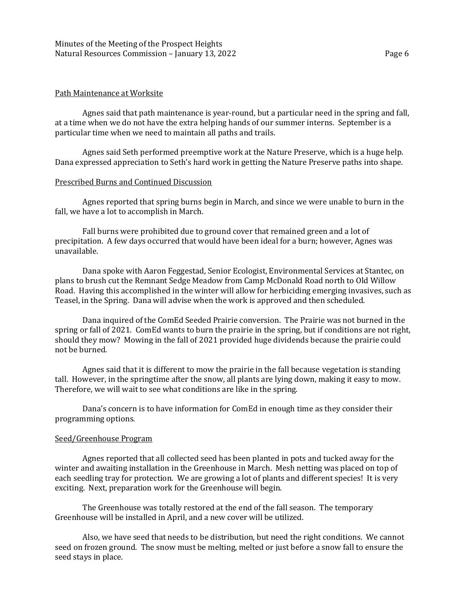### Path Maintenance at Worksite

Agnes said that path maintenance is year-round, but a particular need in the spring and fall, at a time when we do not have the extra helping hands of our summer interns. September is a particular time when we need to maintain all paths and trails.

Agnes said Seth performed preemptive work at the Nature Preserve, which is a huge help. Dana expressed appreciation to Seth's hard work in getting the Nature Preserve paths into shape.

### Prescribed Burns and Continued Discussion

Agnes reported that spring burns begin in March, and since we were unable to burn in the fall, we have a lot to accomplish in March.

Fall burns were prohibited due to ground cover that remained green and a lot of precipitation. A few days occurred that would have been ideal for a burn; however, Agnes was unavailable.

Dana spoke with Aaron Feggestad, Senior Ecologist, Environmental Services at Stantec, on plans to brush cut the Remnant Sedge Meadow from Camp McDonald Road north to Old Willow Road. Having this accomplished in the winter will allow for herbiciding emerging invasives, such as Teasel, in the Spring. Dana will advise when the work is approved and then scheduled.

Dana inquired of the ComEd Seeded Prairie conversion. The Prairie was not burned in the spring or fall of 2021. ComEd wants to burn the prairie in the spring, but if conditions are not right, should they mow? Mowing in the fall of 2021 provided huge dividends because the prairie could not be burned.

Agnes said that it is different to mow the prairie in the fall because vegetation is standing tall. However, in the springtime after the snow, all plants are lying down, making it easy to mow. Therefore, we will wait to see what conditions are like in the spring.

Dana's concern is to have information for ComEd in enough time as they consider their programming options.

#### Seed/Greenhouse Program

Agnes reported that all collected seed has been planted in pots and tucked away for the winter and awaiting installation in the Greenhouse in March. Mesh netting was placed on top of each seedling tray for protection. We are growing a lot of plants and different species! It is very exciting. Next, preparation work for the Greenhouse will begin.

The Greenhouse was totally restored at the end of the fall season. The temporary Greenhouse will be installed in April, and a new cover will be utilized.

Also, we have seed that needs to be distribution, but need the right conditions. We cannot seed on frozen ground. The snow must be melting, melted or just before a snow fall to ensure the seed stays in place.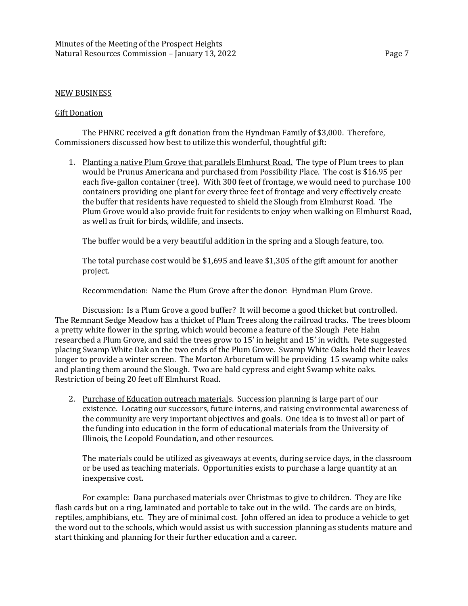## NEW BUSINESS

#### Gift Donation

The PHNRC received a gift donation from the Hyndman Family of \$3,000. Therefore, Commissioners discussed how best to utilize this wonderful, thoughtful gift:

1. Planting a native Plum Grove that parallels Elmhurst Road. The type of Plum trees to plan would be Prunus Americana and purchased from Possibility Place. The cost is \$16.95 per each five-gallon container (tree). With 300 feet of frontage, we would need to purchase 100 containers providing one plant for every three feet of frontage and very effectively create the buffer that residents have requested to shield the Slough from Elmhurst Road. The Plum Grove would also provide fruit for residents to enjoy when walking on Elmhurst Road, as well as fruit for birds, wildlife, and insects.

The buffer would be a very beautiful addition in the spring and a Slough feature, too.

The total purchase cost would be \$1,695 and leave \$1,305 of the gift amount for another project.

Recommendation: Name the Plum Grove after the donor: Hyndman Plum Grove.

Discussion: Is a Plum Grove a good buffer? It will become a good thicket but controlled. The Remnant Sedge Meadow has a thicket of Plum Trees along the railroad tracks. The trees bloom a pretty white flower in the spring, which would become a feature of the Slough Pete Hahn researched a Plum Grove, and said the trees grow to 15' in height and 15' in width. Pete suggested placing Swamp White Oak on the two ends of the Plum Grove. Swamp White Oaks hold their leaves longer to provide a winter screen. The Morton Arboretum will be providing 15 swamp white oaks and planting them around the Slough. Two are bald cypress and eight Swamp white oaks. Restriction of being 20 feet off Elmhurst Road.

2. Purchase of Education outreach materials. Succession planning is large part of our existence. Locating our successors, future interns, and raising environmental awareness of the community are very important objectives and goals. One idea is to invest all or part of the funding into education in the form of educational materials from the University of Illinois, the Leopold Foundation, and other resources.

The materials could be utilized as giveaways at events, during service days, in the classroom or be used as teaching materials. Opportunities exists to purchase a large quantity at an inexpensive cost.

For example: Dana purchased materials over Christmas to give to children. They are like flash cards but on a ring, laminated and portable to take out in the wild. The cards are on birds, reptiles, amphibians, etc. They are of minimal cost. John offered an idea to produce a vehicle to get the word out to the schools, which would assist us with succession planning as students mature and start thinking and planning for their further education and a career.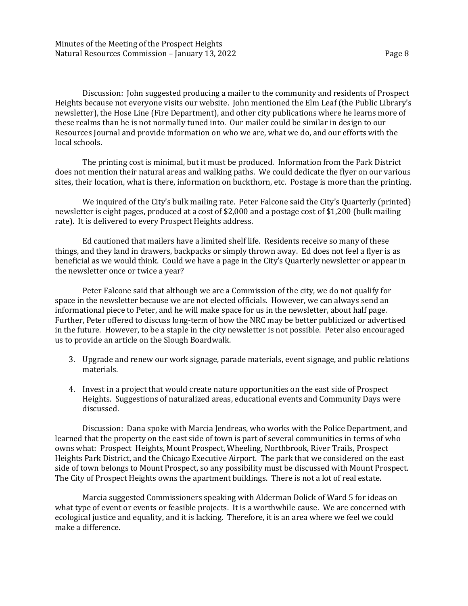Discussion: John suggested producing a mailer to the community and residents of Prospect Heights because not everyone visits our website. John mentioned the Elm Leaf (the Public Library's newsletter), the Hose Line (Fire Department), and other city publications where he learns more of these realms than he is not normally tuned into. Our mailer could be similar in design to our Resources Journal and provide information on who we are, what we do, and our efforts with the local schools.

The printing cost is minimal, but it must be produced. Information from the Park District does not mention their natural areas and walking paths. We could dedicate the flyer on our various sites, their location, what is there, information on buckthorn, etc. Postage is more than the printing.

We inquired of the City's bulk mailing rate. Peter Falcone said the City's Quarterly (printed) newsletter is eight pages, produced at a cost of \$2,000 and a postage cost of \$1,200 (bulk mailing rate). It is delivered to every Prospect Heights address.

Ed cautioned that mailers have a limited shelf life. Residents receive so many of these things, and they land in drawers, backpacks or simply thrown away. Ed does not feel a flyer is as beneficial as we would think. Could we have a page in the City's Quarterly newsletter or appear in the newsletter once or twice a year?

Peter Falcone said that although we are a Commission of the city, we do not qualify for space in the newsletter because we are not elected officials. However, we can always send an informational piece to Peter, and he will make space for us in the newsletter, about half page. Further, Peter offered to discuss long-term of how the NRC may be better publicized or advertised in the future. However, to be a staple in the city newsletter is not possible. Peter also encouraged us to provide an article on the Slough Boardwalk.

- 3. Upgrade and renew our work signage, parade materials, event signage, and public relations materials.
- 4. Invest in a project that would create nature opportunities on the east side of Prospect Heights. Suggestions of naturalized areas, educational events and Community Days were discussed.

Discussion: Dana spoke with Marcia Jendreas, who works with the Police Department, and learned that the property on the east side of town is part of several communities in terms of who owns what: Prospect Heights, Mount Prospect, Wheeling, Northbrook, River Trails, Prospect Heights Park District, and the Chicago Executive Airport. The park that we considered on the east side of town belongs to Mount Prospect, so any possibility must be discussed with Mount Prospect. The City of Prospect Heights owns the apartment buildings. There is not a lot of real estate.

Marcia suggested Commissioners speaking with Alderman Dolick of Ward 5 for ideas on what type of event or events or feasible projects. It is a worthwhile cause. We are concerned with ecological justice and equality, and it is lacking. Therefore, it is an area where we feel we could make a difference.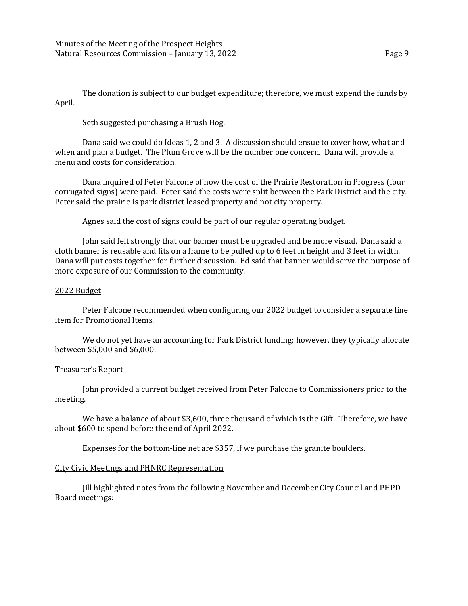The donation is subject to our budget expenditure; therefore, we must expend the funds by April.

Seth suggested purchasing a Brush Hog.

Dana said we could do Ideas 1, 2 and 3. A discussion should ensue to cover how, what and when and plan a budget. The Plum Grove will be the number one concern. Dana will provide a menu and costs for consideration.

Dana inquired of Peter Falcone of how the cost of the Prairie Restoration in Progress (four corrugated signs) were paid. Peter said the costs were split between the Park District and the city. Peter said the prairie is park district leased property and not city property.

Agnes said the cost of signs could be part of our regular operating budget.

John said felt strongly that our banner must be upgraded and be more visual. Dana said a cloth banner is reusable and fits on a frame to be pulled up to 6 feet in height and 3 feet in width. Dana will put costs together for further discussion. Ed said that banner would serve the purpose of more exposure of our Commission to the community.

## 2022 Budget

Peter Falcone recommended when configuring our 2022 budget to consider a separate line item for Promotional Items.

We do not yet have an accounting for Park District funding; however, they typically allocate between \$5,000 and \$6,000.

# Treasurer's Report

John provided a current budget received from Peter Falcone to Commissioners prior to the meeting.

We have a balance of about \$3,600, three thousand of which is the Gift. Therefore, we have about \$600 to spend before the end of April 2022.

Expenses for the bottom-line net are \$357, if we purchase the granite boulders.

## City Civic Meetings and PHNRC Representation

Jill highlighted notes from the following November and December City Council and PHPD Board meetings: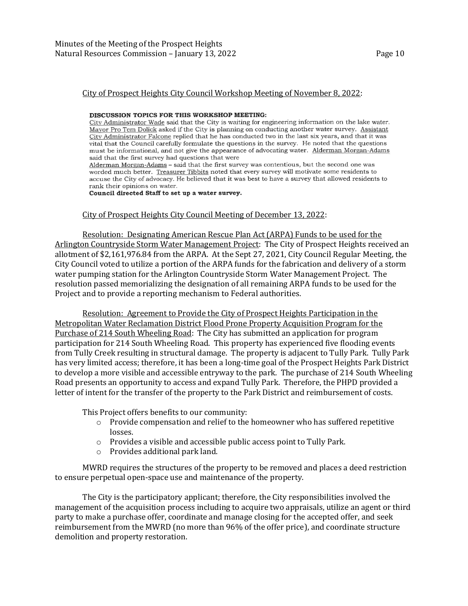#### City of Prospect Heights City Council Workshop Meeting of November 8, 2022:

#### DISCUSSION TOPICS FOR THIS WORKSHOP MEETING:

City Administrator Wade said that the City is waiting for engineering information on the lake water. Mayor Pro Tem Dolick asked if the City is planning on conducting another water survey. Assistant City Administrator Falcone replied that he has conducted two in the last six years, and that it was vital that the Council carefully formulate the questions in the survey. He noted that the questions must be informational, and not give the appearance of advocating water. Alderman Morgan-Adams said that the first survey had questions that were Alderman Morgan-Adams - said that the first survey was contentious, but the second one was worded much better. Treasurer Tibbits noted that every survey will motivate some residents to

accuse the City of advocacy. He believed that it was best to have a survey that allowed residents to rank their opinions on water.

Council directed Staff to set up a water survey.

#### City of Prospect Heights City Council Meeting of December 13, 2022:

Resolution: Designating American Rescue Plan Act (ARPA) Funds to be used for the Arlington Countryside Storm Water Management Project: The City of Prospect Heights received an allotment of \$2,161,976.84 from the ARPA. At the Sept 27, 2021, City Council Regular Meeting, the City Council voted to utilize a portion of the ARPA funds for the fabrication and delivery of a storm water pumping station for the Arlington Countryside Storm Water Management Project. The resolution passed memorializing the designation of all remaining ARPA funds to be used for the Project and to provide a reporting mechanism to Federal authorities.

Resolution: Agreement to Provide the City of Prospect Heights Participation in the Metropolitan Water Reclamation District Flood Prone Property Acquisition Program for the Purchase of 214 South Wheeling Road: The City has submitted an application for program participation for 214 South Wheeling Road. This property has experienced five flooding events from Tully Creek resulting in structural damage. The property is adjacent to Tully Park. Tully Park has very limited access; therefore, it has been a long-time goal of the Prospect Heights Park District to develop a more visible and accessible entryway to the park. The purchase of 214 South Wheeling Road presents an opportunity to access and expand Tully Park. Therefore, the PHPD provided a letter of intent for the transfer of the property to the Park District and reimbursement of costs.

This Project offers benefits to our community:

- $\circ$  Provide compensation and relief to the homeowner who has suffered repetitive losses.
- o Provides a visible and accessible public access point to Tully Park.
- o Provides additional park land.

MWRD requires the structures of the property to be removed and places a deed restriction to ensure perpetual open-space use and maintenance of the property.

The City is the participatory applicant; therefore, the City responsibilities involved the management of the acquisition process including to acquire two appraisals, utilize an agent or third party to make a purchase offer, coordinate and manage closing for the accepted offer, and seek reimbursement from the MWRD (no more than 96% of the offer price), and coordinate structure demolition and property restoration.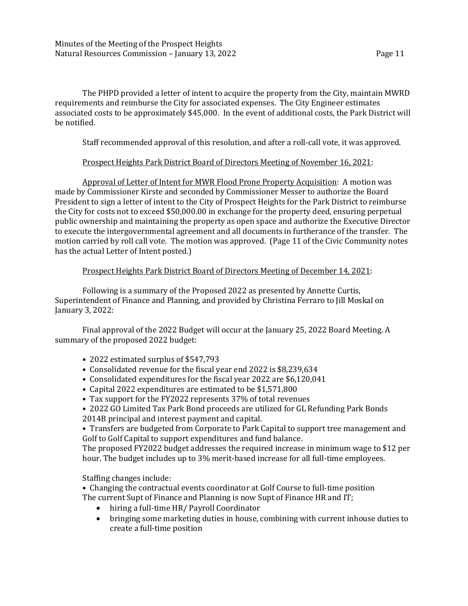The PHPD provided a letter of intent to acquire the property from the City, maintain MWRD requirements and reimburse the City for associated expenses. The City Engineer estimates associated costs to be approximately \$45,000. In the event of additional costs, the Park District will be notified.

Staff recommended approval of this resolution, and after a roll-call vote, it was approved.

# Prospect Heights Park District Board of Directors Meeting of November 16, 2021:

Approval of Letter of Intent for MWR Flood Prone Property Acquisition: A motion was made by Commissioner Kirste and seconded by Commissioner Messer to authorize the Board President to sign a letter of intent to the City of Prospect Heights for the Park District to reimburse the City for costs not to exceed \$50,000.00 in exchange for the property deed, ensuring perpetual public ownership and maintaining the property as open space and authorize the Executive Director to execute the intergovernmental agreement and all documents in furtherance of the transfer. The motion carried by roll call vote. The motion was approved. (Page 11 of the Civic Community notes has the actual Letter of Intent posted.)

# Prospect Heights Park District Board of Directors Meeting of December 14, 2021:

Following is a summary of the Proposed 2022 as presented by Annette Curtis, Superintendent of Finance and Planning, and provided by Christina Ferraro to Jill Moskal on January 3, 2022:

Final approval of the 2022 Budget will occur at the January 25, 2022 Board Meeting. A summary of the proposed 2022 budget:

- 2022 estimated surplus of \$547,793
- Consolidated revenue for the fiscal year end 2022 is \$8,239,634
- Consolidated expenditures for the fiscal year 2022 are \$6,120,041
- Capital 2022 expenditures are estimated to be \$1,571,800
- Tax support for the FY2022 represents 37% of total revenues
- 2022 GO Limited Tax Park Bond proceeds are utilized for GL Refunding Park Bonds
- 2014B principal and interest payment and capital.

• Transfers are budgeted from Corporate to Park Capital to support tree management and Golf to Golf Capital to support expenditures and fund balance.

The proposed FY2022 budget addresses the required increase in minimum wage to \$12 per hour. The budget includes up to 3% merit-based increase for all full-time employees.

Staffing changes include:

• Changing the contractual events coordinator at Golf Course to full-time position The current Supt of Finance and Planning is now Supt of Finance HR and IT;

- hiring a full-time HR/ Payroll Coordinator
- bringing some marketing duties in house, combining with current inhouse duties to create a full-time position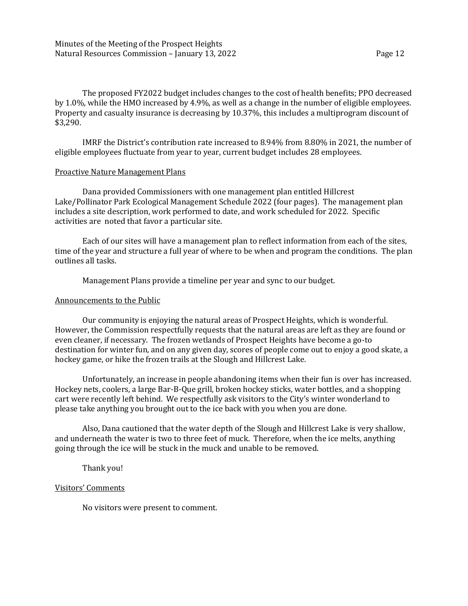The proposed FY2022 budget includes changes to the cost of health benefits; PPO decreased by 1.0%, while the HMO increased by 4.9%, as well as a change in the number of eligible employees. Property and casualty insurance is decreasing by 10.37%, this includes a multiprogram discount of \$3,290.

IMRF the District's contribution rate increased to 8.94% from 8.80% in 2021, the number of eligible employees fluctuate from year to year, current budget includes 28 employees.

## Proactive Nature Management Plans

Dana provided Commissioners with one management plan entitled Hillcrest Lake/Pollinator Park Ecological Management Schedule 2022 (four pages). The management plan includes a site description, work performed to date, and work scheduled for 2022. Specific activities are noted that favor a particular site.

Each of our sites will have a management plan to reflect information from each of the sites, time of the year and structure a full year of where to be when and program the conditions. The plan outlines all tasks.

Management Plans provide a timeline per year and sync to our budget.

## Announcements to the Public

Our community is enjoying the natural areas of Prospect Heights, which is wonderful. However, the Commission respectfully requests that the natural areas are left as they are found or even cleaner, if necessary. The frozen wetlands of Prospect Heights have become a go-to destination for winter fun, and on any given day, scores of people come out to enjoy a good skate, a hockey game, or hike the frozen trails at the Slough and Hillcrest Lake.

Unfortunately, an increase in people abandoning items when their fun is over has increased. Hockey nets, coolers, a large Bar-B-Que grill, broken hockey sticks, water bottles, and a shopping cart were recently left behind. We respectfully ask visitors to the City's winter wonderland to please take anything you brought out to the ice back with you when you are done.

Also, Dana cautioned that the water depth of the Slough and Hillcrest Lake is very shallow, and underneath the water is two to three feet of muck. Therefore, when the ice melts, anything going through the ice will be stuck in the muck and unable to be removed.

Thank you!

# Visitors' Comments

No visitors were present to comment.